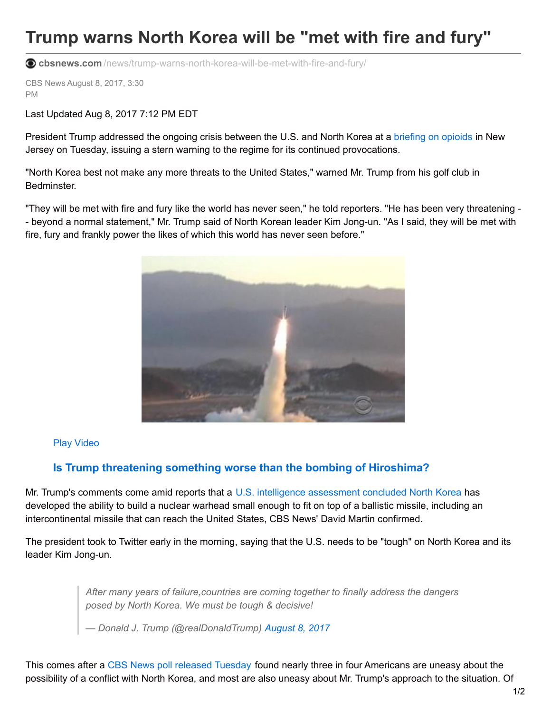## **Trump warns North Korea will be "met with fire and fury"**

**cbsnews.com** [/news/trump-warns-north-korea-will-be-met-with-fire-and-fury/](https://www.cbsnews.com/news/trump-warns-north-korea-will-be-met-with-fire-and-fury/)

CBS News August 8, 2017, 3:30 PM

Last Updated Aug 8, 2017 7:12 PM EDT

President Trump addressed the ongoing crisis between the U.S. and North Korea at a [briefing](https://www.cbsnews.com/opioid-epidemic/) on opioids in New Jersey on Tuesday, issuing a stern warning to the regime for its continued provocations.

"North Korea best not make any more threats to the United States," warned Mr. Trump from his golf club in Bedminster.

"They will be met with fire and fury like the world has never seen," he told reporters. "He has been very threatening - - beyond a normal statement," Mr. Trump said of North Korean leader Kim Jong-un. "As I said, they will be met with fire, fury and frankly power the likes of which this world has never seen before."



## Play Video

## **Is Trump threatening something worse than the bombing of Hiroshima?**

Mr. Trump's comments come amid reports that a U.S. intelligence [assessment](https://www.cbsnews.com/news/north-korea-can-develop-small-miniature-warhead/) concluded North Korea has developed the ability to build a nuclear warhead small enough to fit on top of a ballistic missile, including an intercontinental missile that can reach the United States, CBS News' David Martin confirmed.

The president took to Twitter early in the morning, saying that the U.S. needs to be "tough" on North Korea and its leader Kim Jong-un.

> *After many years of failure,countries are coming together to finally address the dangers posed by North Korea. We must be tough & decisive!*

*— Donald J. Trump (@realDonaldTrump) [August](https://twitter.com/realDonaldTrump/status/894880193839497216) 8, 2017*

This comes after a CBS News poll [released](https://www.cbsnews.com/news/americans-uneasy-about-north-korea-and-trumps-ability-to-handle-it/) Tuesday found nearly three in four Americans are uneasy about the possibility of a conflict with North Korea, and most are also uneasy about Mr. Trump's approach to the situation. Of